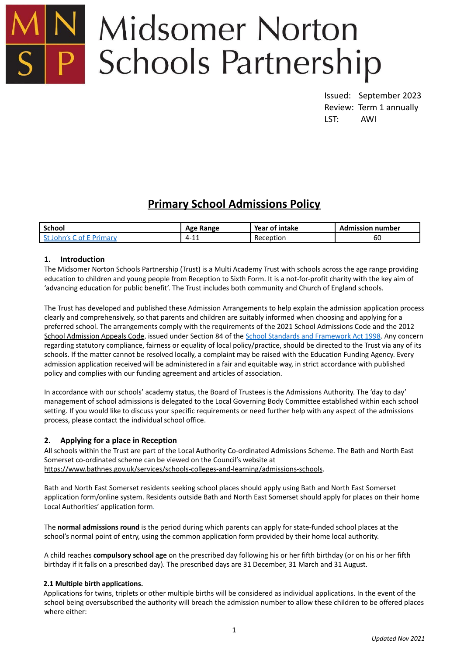

# **Midsomer Norton Schools Partnership**

Issued: September 2023 Review: Term 1 annually LST: AWI

# **Primary School Admissions Policy**

| <b>School</b> | Range<br>Age                   | Year of intake | <b>Admission number</b> |
|---------------|--------------------------------|----------------|-------------------------|
|               | $\sim$<br>$\mathbf{A}$<br>- 11 | Reception      | 60                      |

# **1. Introduction**

The Midsomer Norton Schools Partnership (Trust) is a Multi Academy Trust with schools across the age range providing education to children and young people from Reception to Sixth Form. It is a not-for-profit charity with the key aim of 'advancing education for public benefit'. The Trust includes both community and Church of England schools.

The Trust has developed and published these Admission Arrangements to help explain the admission application process clearly and comprehensively, so that parents and children are suitably informed when choosing and applying for a preferred school. The arrangements comply with the requirements of the 2021 School [Admissions](https://assets.publishing.service.gov.uk/government/uploads/system/uploads/attachment_data/file/1001050/School_admissions_code_2021.pdf) Code and the 2012 School [Admission](https://assets.publishing.service.gov.uk/government/uploads/system/uploads/attachment_data/file/275897/school_admission_appeals_code_1_february_2012.pdf) Appeals Code, issued under Section 84 of the School Standards and [Framework](https://www.legislation.gov.uk/ukpga/1998/31/contents) Act 1998. Any concern regarding statutory compliance, fairness or equality of local policy/practice, should be directed to the Trust via any of its schools. If the matter cannot be resolved locally, a complaint may be raised with the Education Funding Agency. Every admission application received will be administered in a fair and equitable way, in strict accordance with published policy and complies with our funding agreement and articles of association.

In accordance with our schools' academy status, the Board of Trustees is the Admissions Authority. The 'day to day' management of school admissions is delegated to the Local Governing Body Committee established within each school setting. If you would like to discuss your specific requirements or need further help with any aspect of the admissions process, please contact the individual school office.

# **2. Applying for a place in Reception**

All schools within the Trust are part of the Local Authority Co-ordinated Admissions Scheme. The Bath and North East Somerset co-ordinated scheme can be viewed on the Council's website at <https://www.bathnes.gov.uk/services/schools-colleges-and-learning/admissions-schools>.

Bath and North East Somerset residents seeking school places should apply using Bath and North East Somerset application form/online system. Residents outside Bath and North East Somerset should apply for places on their home Local Authorities' application form.

The **normal admissions round** is the period during which parents can apply for state-funded school places at the school's normal point of entry, using the common application form provided by their home local authority.

A child reaches **compulsory school age** on the prescribed day following his or her fifth birthday (or on his or her fifth birthday if it falls on a prescribed day). The prescribed days are 31 December, 31 March and 31 August.

# **2.1 Multiple birth applications.**

Applications for twins, triplets or other multiple births will be considered as individual applications. In the event of the school being oversubscribed the authority will breach the admission number to allow these children to be offered places where either: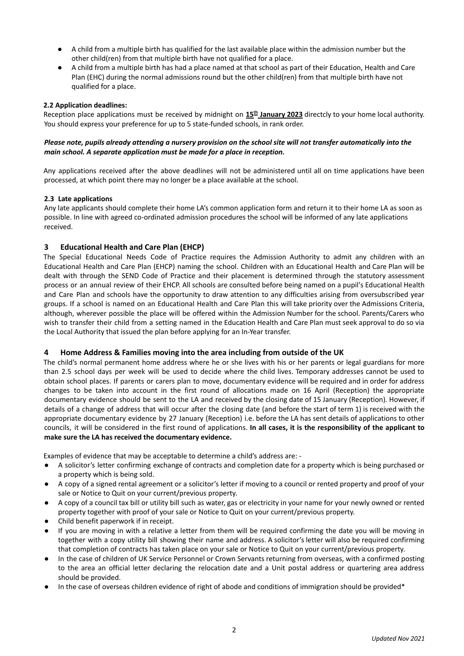- A child from a multiple birth has qualified for the last available place within the admission number but the other child(ren) from that multiple birth have not qualified for a place.
- A child from a multiple birth has had a place named at that school as part of their Education, Health and Care Plan (EHC) during the normal admissions round but the other child(ren) from that multiple birth have not qualified for a place.

#### **2.2 Application deadlines:**

Reception place applications must be received by midnight on  $15<sup>th</sup>$  January 2023 directcly to your home local authority. You should express your preference for up to 5 state-funded schools, in rank order.

#### Please note, pupils already attending a nursery provision on the school site will not transfer automatically into the *main school. A separate application must be made for a place in reception.*

Any applications received after the above deadlines will not be administered until all on time applications have been processed, at which point there may no longer be a place available at the school.

#### **2.3 Late applications**

Any late applicants should complete their home LA's common application form and return it to their home LA as soon as possible. In line with agreed co-ordinated admission procedures the school will be informed of any late applications received.

# **3 Educational Health and Care Plan (EHCP)**

The Special Educational Needs Code of Practice requires the Admission Authority to admit any children with an Educational Health and Care Plan (EHCP) naming the school. Children with an Educational Health and Care Plan will be dealt with through the SEND Code of Practice and their placement is determined through the statutory assessment process or an annual review of their EHCP. All schools are consulted before being named on a pupil's Educational Health and Care Plan and schools have the opportunity to draw attention to any difficulties arising from oversubscribed year groups. If a school is named on an Educational Health and Care Plan this will take priority over the Admissions Criteria, although, wherever possible the place will be offered within the Admission Number for the school. Parents/Carers who wish to transfer their child from a setting named in the Education Health and Care Plan must seek approval to do so via the Local Authority that issued the plan before applying for an In-Year transfer.

#### **4 Home Address & Families moving into the area including from outside of the UK**

The child's normal permanent home address where he or she lives with his or her parents or legal guardians for more than 2.5 school days per week will be used to decide where the child lives. Temporary addresses cannot be used to obtain school places. If parents or carers plan to move, documentary evidence will be required and in order for address changes to be taken into account in the first round of allocations made on 16 April (Reception) the appropriate documentary evidence should be sent to the LA and received by the closing date of 15 January (Reception). However, if details of a change of address that will occur after the closing date (and before the start of term 1) is received with the appropriate documentary evidence by 27 January (Reception) i.e. before the LA has sent details of applications to other councils, it will be considered in the first round of applications. **In all cases, it is the responsibility of the applicant to make sure the LA has received the documentary evidence.**

Examples of evidence that may be acceptable to determine a child's address are: -

- A solicitor's letter confirming exchange of contracts and completion date for a property which is being purchased or a property which is being sold.
- A copy of a signed rental agreement or a solicitor's letter if moving to a council or rented property and proof of your sale or Notice to Quit on your current/previous property.
- A copy of a council tax bill or utility bill such as water, gas or electricity in your name for your newly owned or rented property together with proof of your sale or Notice to Quit on your current/previous property.
- Child benefit paperwork if in receipt.
- If you are moving in with a relative a letter from them will be required confirming the date you will be moving in together with a copy utility bill showing their name and address. A solicitor's letter will also be required confirming that completion of contracts has taken place on your sale or Notice to Quit on your current/previous property.
- In the case of children of UK Service Personnel or Crown Servants returning from overseas, with a confirmed posting to the area an official letter declaring the relocation date and a Unit postal address or quartering area address should be provided.
- In the case of overseas children evidence of right of abode and conditions of immigration should be provided\*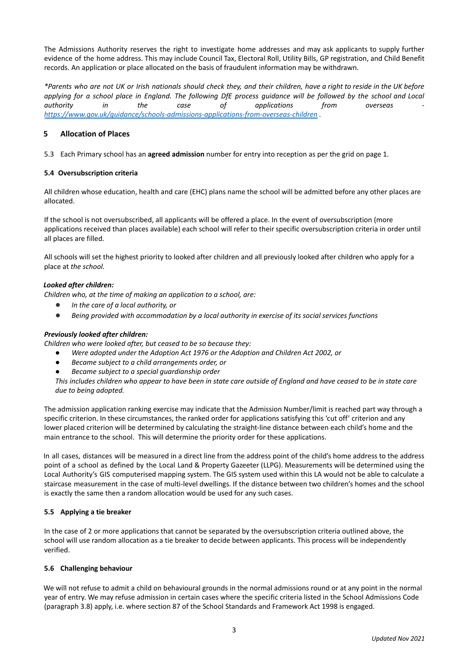The Admissions Authority reserves the right to investigate home addresses and may ask applicants to supply further evidence of the home address. This may include Council Tax, Electoral Roll, Utility Bills, GP registration, and Child Benefit records. An application or place allocated on the basis of fraudulent information may be withdrawn.

\*Parents who are not UK or Irish nationals should check they, and their children, have a right to reside in the UK before applying for a school place in England. The following DfE process guidance will be followed by the school and Local *authority in the case of applications from overseas <https://www.gov.uk/guidance/schools-admissions-applications-from-overseas-children> .*

# **5 Allocation of Places**

5.3 Each Primary school has an **agreed admission** number for entry into reception as per the grid on page 1.

# **5.4 Oversubscription criteria**

All children whose education, health and care (EHC) plans name the school will be admitted before any other places are allocated.

If the school is not oversubscribed, all applicants will be offered a place. In the event of oversubscription (more applications received than places available) each school will refer to their specific oversubscription criteria in order until all places are filled.

All schools will set the highest priority to looked after children and all previously looked after children who apply for a place at *the school.*

#### *Looked after children:*

*Children who, at the time of making an application to a school, are:*

- *● In the care of a local authority, or*
- *● Being provided with accommodation by a local authority in exercise of its social services functions*

# *Previously looked after children:*

*Children who were looked after, but ceased to be so because they:*

- *● Were adopted under the Adoption Act 1976 or the Adoption and Children Act 2002, or*
- *● Became subject to a child arrangements order, or*
- *● Became subject to a special guardianship order*

This includes children who appear to have been in state care outside of England and have ceased to be in state care *due to being adopted.*

The admission application ranking exercise may indicate that the Admission Number/limit is reached part way through a specific criterion. In these circumstances, the ranked order for applications satisfying this 'cut off' criterion and any lower placed criterion will be determined by calculating the straight-line distance between each child's home and the main entrance to the school. This will determine the priority order for these applications.

In all cases, distances will be measured in a direct line from the address point of the child's home address to the address point of a school as defined by the Local Land & Property Gazeeter (LLPG). Measurements will be determined using the Local Authority's GIS computerised mapping system. The GIS system used within this LA would not be able to calculate a staircase measurement in the case of multi-level dwellings. If the distance between two children's homes and the school is exactly the same then a random allocation would be used for any such cases.

#### **5.5 Applying a tie breaker**

In the case of 2 or more applications that cannot be separated by the oversubscription criteria outlined above, the school will use random allocation as a tie breaker to decide between applicants. This process will be independently verified.

#### **5.6 Challenging behaviour**

We will not refuse to admit a child on behavioural grounds in the normal admissions round or at any point in the normal year of entry. We may refuse admission in certain cases where the specific criteria listed in the School Admissions Code (paragraph 3.8) apply, i.e. where section 87 of the School Standards and Framework Act 1998 is engaged.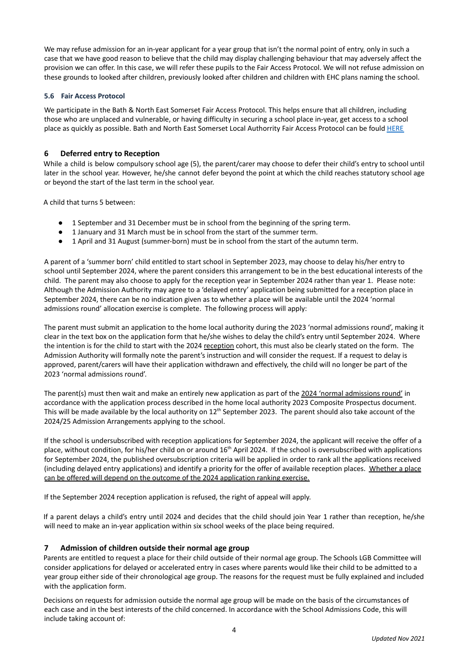We may refuse admission for an in-year applicant for a year group that isn't the normal point of entry, only in such a case that we have good reason to believe that the child may display challenging behaviour that may adversely affect the provision we can offer. In this case, we will refer these pupils to the Fair Access Protocol. We will not refuse admission on these grounds to looked after children, previously looked after children and children with EHC plans naming the school.

#### **5.6 Fair Access Protocol**

We participate in the Bath & North East Somerset Fair Access Protocol. This helps ensure that all children, including those who are unplaced and vulnerable, or having difficulty in securing a school place in-year, get access to a school place as quickly as possible. Bath and North East Somerset Local Authorrity Fair Access Protocol can be fould [HERE](https://beta.bathnes.gov.uk/fair-access-education-protocol)

#### **6 Deferred entry to Reception**

While a child is below compulsory school age (5), the parent/carer may choose to defer their child's entry to school until later in the school year. However, he/she cannot defer beyond the point at which the child reaches statutory school age or beyond the start of the last term in the school year.

A child that turns 5 between:

- 1 September and 31 December must be in school from the beginning of the spring term.
- 1 January and 31 March must be in school from the start of the summer term.
- 1 April and 31 August (summer-born) must be in school from the start of the autumn term.

A parent of a 'summer born' child entitled to start school in September 2023, may choose to delay his/her entry to school until September 2024, where the parent considers this arrangement to be in the best educational interests of the child. The parent may also choose to apply for the reception year in September 2024 rather than year 1. Please note: Although the Admission Authority may agree to a 'delayed entry' application being submitted for a reception place in September 2024, there can be no indication given as to whether a place will be available until the 2024 'normal admissions round' allocation exercise is complete. The following process will apply:

The parent must submit an application to the home local authority during the 2023 'normal admissions round', making it clear in the text box on the application form that he/she wishes to delay the child's entry until September 2024. Where the intention is for the child to start with the 2024 reception cohort, this must also be clearly stated on the form. The Admission Authority will formally note the parent's instruction and will consider the request. If a request to delay is approved, parent/carers will have their application withdrawn and effectively, the child will no longer be part of the 2023 'normal admissions round'.

The parent(s) must then wait and make an entirely new application as part of the 2024 'normal admissions round' in accordance with the application process described in the home local authority 2023 Composite Prospectus document. This will be made available by the local authority on  $12^{th}$  September 2023. The parent should also take account of the 2024/25 Admission Arrangements applying to the school.

If the school is undersubscribed with reception applications for September 2024, the applicant will receive the offer of a place, without condition, for his/her child on or around 16<sup>th</sup> April 2024. If the school is oversubscribed with applications for September 2024, the published oversubscription criteria will be applied in order to rank all the applications received (including delayed entry applications) and identify a priority for the offer of available reception places. Whether a place can be offered will depend on the outcome of the 2024 application ranking exercise.

If the September 2024 reception application is refused, the right of appeal will apply.

If a parent delays a child's entry until 2024 and decides that the child should join Year 1 rather than reception, he/she will need to make an in-year application within six school weeks of the place being required.

# **7 Admission of children outside their normal age group**

Parents are entitled to request a place for their child outside of their normal age group. The Schools LGB Committee will consider applications for delayed or accelerated entry in cases where parents would like their child to be admitted to a year group either side of their chronological age group. The reasons for the request must be fully explained and included with the application form.

Decisions on requests for admission outside the normal age group will be made on the basis of the circumstances of each case and in the best interests of the child concerned. In accordance with the School Admissions Code, this will include taking account of: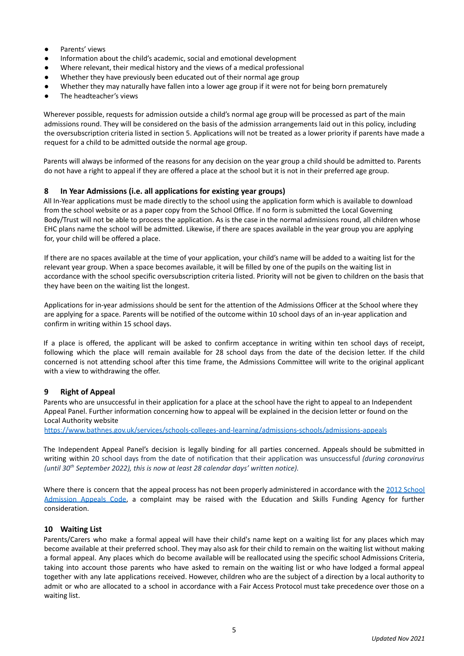- Parents' views
- Information about the child's academic, social and emotional development
- Where relevant, their medical history and the views of a medical professional
- Whether they have previously been educated out of their normal age group
- Whether they may naturally have fallen into a lower age group if it were not for being born prematurely
- The headteacher's views

Wherever possible, requests for admission outside a child's normal age group will be processed as part of the main admissions round. They will be considered on the basis of the admission arrangements laid out in this policy, including the oversubscription criteria listed in section 5. Applications will not be treated as a lower priority if parents have made a request for a child to be admitted outside the normal age group.

Parents will always be informed of the reasons for any decision on the year group a child should be admitted to. Parents do not have a right to appeal if they are offered a place at the school but it is not in their preferred age group.

#### **8 In Year Admissions (i.e. all applications for existing year groups)**

All In-Year applications must be made directly to the school using the application form which is available to download from the school website or as a paper copy from the School Office. If no form is submitted the Local Governing Body/Trust will not be able to process the application. As is the case in the normal admissions round, all children whose EHC plans name the school will be admitted. Likewise, if there are spaces available in the year group you are applying for, your child will be offered a place.

If there are no spaces available at the time of your application, your child's name will be added to a waiting list for the relevant year group. When a space becomes available, it will be filled by one of the pupils on the waiting list in accordance with the school specific oversubscription criteria listed. Priority will not be given to children on the basis that they have been on the waiting list the longest.

Applications for in-year admissions should be sent for the attention of the Admissions Officer at the School where they are applying for a space. Parents will be notified of the outcome within 10 school days of an in-year application and confirm in writing within 15 school days.

If a place is offered, the applicant will be asked to confirm acceptance in writing within ten school days of receipt, following which the place will remain available for 28 school days from the date of the decision letter. If the child concerned is not attending school after this time frame, the Admissions Committee will write to the original applicant with a view to withdrawing the offer.

# **9 Right of Appeal**

Parents who are unsuccessful in their application for a place at the school have the right to appeal to an Independent Appeal Panel. Further information concerning how to appeal will be explained in the decision letter or found on the Local Authority website

<https://www.bathnes.gov.uk/services/schools-colleges-and-learning/admissions-schools/admissions-appeals>

The Independent Appeal Panel's decision is legally binding for all parties concerned. Appeals should be submitted in writing within 20 school days from the date of notification that their application was unsuccessful *(during coronavirus (until 30 th September 2022), this is now at least 28 calendar days' written notice).*

Where there is concern that the appeal process has not been properly administered in accordance with the 2012 [School](https://assets.publishing.service.gov.uk/government/uploads/system/uploads/attachment_data/file/275897/school_admission_appeals_code_1_february_2012.pdf) [Admission](https://assets.publishing.service.gov.uk/government/uploads/system/uploads/attachment_data/file/275897/school_admission_appeals_code_1_february_2012.pdf) Appeals Code, a complaint may be raised with the Education and Skills Funding Agency for further consideration.

#### **10 Waiting List**

Parents/Carers who make a formal appeal will have their child's name kept on a waiting list for any places which may become available at their preferred school. They may also ask for their child to remain on the waiting list without making a formal appeal. Any places which do become available will be reallocated using the specific school Admissions Criteria, taking into account those parents who have asked to remain on the waiting list or who have lodged a formal appeal together with any late applications received. However, children who are the subject of a direction by a local authority to admit or who are allocated to a school in accordance with a Fair Access Protocol must take precedence over those on a waiting list.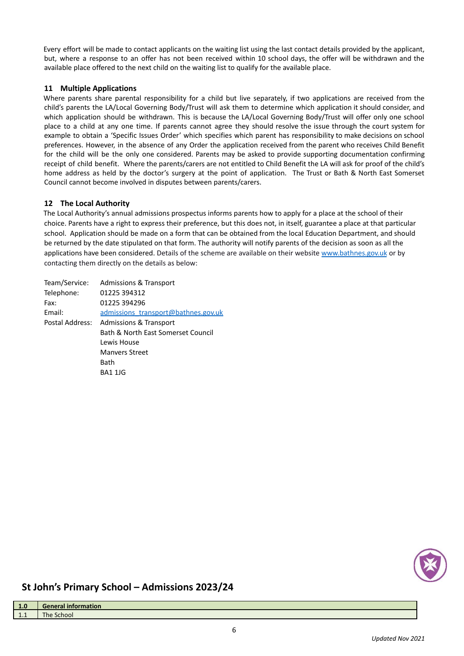Every effort will be made to contact applicants on the waiting list using the last contact details provided by the applicant, but, where a response to an offer has not been received within 10 school days, the offer will be withdrawn and the available place offered to the next child on the waiting list to qualify for the available place.

# **11 Multiple Applications**

Where parents share parental responsibility for a child but live separately, if two applications are received from the child's parents the LA/Local Governing Body/Trust will ask them to determine which application it should consider, and which application should be withdrawn. This is because the LA/Local Governing Body/Trust will offer only one school place to a child at any one time. If parents cannot agree they should resolve the issue through the court system for example to obtain a 'Specific Issues Order' which specifies which parent has responsibility to make decisions on school preferences. However, in the absence of any Order the application received from the parent who receives Child Benefit for the child will be the only one considered. Parents may be asked to provide supporting documentation confirming receipt of child benefit. Where the parents/carers are not entitled to Child Benefit the LA will ask for proof of the child's home address as held by the doctor's surgery at the point of application. The Trust or Bath & North East Somerset Council cannot become involved in disputes between parents/carers.

# **12 The Local Authority**

The Local Authority's annual admissions prospectus informs parents how to apply for a place at the school of their choice. Parents have a right to express their preference, but this does not, in itself, guarantee a place at that particular school. Application should be made on a form that can be obtained from the local Education Department, and should be returned by the date stipulated on that form. The authority will notify parents of the decision as soon as all the applications have been considered. Details of the scheme are available on their website [www.bathnes.gov.uk](http://www.bathnes.gov.uk) or by contacting them directly on the details as below:

| Team/Service:   | <b>Admissions &amp; Transport</b>   |
|-----------------|-------------------------------------|
| Telephone:      | 01225 394312                        |
| Fax:            | 01225 394296                        |
| Email:          | admissions transport@bathnes.gov.uk |
| Postal Address: | Admissions & Transport              |
|                 | Bath & North East Somerset Council  |
|                 | Lewis House                         |
|                 | <b>Manyers Street</b>               |
|                 | Bath                                |
|                 | BA1 1JG                             |



# **St John's Primary School – Admissions 2023/24**

| 1.0        | <b>General information</b> |
|------------|----------------------------|
| . .        | The.                       |
| <b>L.L</b> | School                     |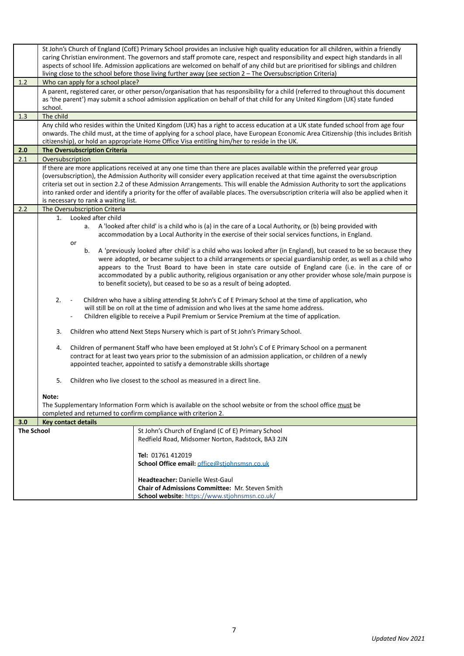|                   | St John's Church of England (CofE) Primary School provides an inclusive high quality education for all children, within a friendly<br>caring Christian environment. The governors and staff promote care, respect and responsibility and expect high standards in all<br>aspects of school life. Admission applications are welcomed on behalf of any child but are prioritised for siblings and children<br>living close to the school before those living further away (see section 2 - The Oversubscription Criteria)                                                           |  |  |
|-------------------|------------------------------------------------------------------------------------------------------------------------------------------------------------------------------------------------------------------------------------------------------------------------------------------------------------------------------------------------------------------------------------------------------------------------------------------------------------------------------------------------------------------------------------------------------------------------------------|--|--|
| 1.2               | Who can apply for a school place?                                                                                                                                                                                                                                                                                                                                                                                                                                                                                                                                                  |  |  |
|                   | A parent, registered carer, or other person/organisation that has responsibility for a child (referred to throughout this document<br>as 'the parent') may submit a school admission application on behalf of that child for any United Kingdom (UK) state funded<br>school.                                                                                                                                                                                                                                                                                                       |  |  |
| 1.3               | The child                                                                                                                                                                                                                                                                                                                                                                                                                                                                                                                                                                          |  |  |
|                   | Any child who resides within the United Kingdom (UK) has a right to access education at a UK state funded school from age four<br>onwards. The child must, at the time of applying for a school place, have European Economic Area Citizenship (this includes British<br>citizenship), or hold an appropriate Home Office Visa entitling him/her to reside in the UK.                                                                                                                                                                                                              |  |  |
| 2.0               | <b>The Oversubscription Criteria</b>                                                                                                                                                                                                                                                                                                                                                                                                                                                                                                                                               |  |  |
| 2.1               | Oversubscription                                                                                                                                                                                                                                                                                                                                                                                                                                                                                                                                                                   |  |  |
|                   | If there are more applications received at any one time than there are places available within the preferred year group<br>(oversubscription), the Admission Authority will consider every application received at that time against the oversubscription<br>criteria set out in section 2.2 of these Admission Arrangements. This will enable the Admission Authority to sort the applications<br>into ranked order and identify a priority for the offer of available places. The oversubscription criteria will also be applied when it<br>is necessary to rank a waiting list. |  |  |
| 2.2               | The Oversubscription Criteria                                                                                                                                                                                                                                                                                                                                                                                                                                                                                                                                                      |  |  |
|                   | Looked after child<br>1.<br>A 'looked after child' is a child who is (a) in the care of a Local Authority, or (b) being provided with<br>a.<br>accommodation by a Local Authority in the exercise of their social services functions, in England.<br>or<br>b.<br>A 'previously looked after child' is a child who was looked after (in England), but ceased to be so because they                                                                                                                                                                                                  |  |  |
|                   | were adopted, or became subject to a child arrangements or special guardianship order, as well as a child who<br>appears to the Trust Board to have been in state care outside of England care (i.e. in the care of or<br>accommodated by a public authority, religious organisation or any other provider whose sole/main purpose is<br>to benefit society), but ceased to be so as a result of being adopted.                                                                                                                                                                    |  |  |
|                   | 2.<br>Children who have a sibling attending St John's C of E Primary School at the time of application, who<br>will still be on roll at the time of admission and who lives at the same home address.<br>Children eligible to receive a Pupil Premium or Service Premium at the time of application.                                                                                                                                                                                                                                                                               |  |  |
|                   | Children who attend Next Steps Nursery which is part of St John's Primary School.<br>3.                                                                                                                                                                                                                                                                                                                                                                                                                                                                                            |  |  |
|                   | Children of permanent Staff who have been employed at St John's C of E Primary School on a permanent<br>4.<br>contract for at least two years prior to the submission of an admission application, or children of a newly<br>appointed teacher, appointed to satisfy a demonstrable skills shortage                                                                                                                                                                                                                                                                                |  |  |
|                   | 5.<br>Children who live closest to the school as measured in a direct line.                                                                                                                                                                                                                                                                                                                                                                                                                                                                                                        |  |  |
|                   | Note:<br>The Supplementary Information Form which is available on the school website or from the school office must be<br>completed and returned to confirm compliance with criterion 2.                                                                                                                                                                                                                                                                                                                                                                                           |  |  |
| 3.0               | <b>Key contact details</b>                                                                                                                                                                                                                                                                                                                                                                                                                                                                                                                                                         |  |  |
| <b>The School</b> | St John's Church of England (C of E) Primary School<br>Redfield Road, Midsomer Norton, Radstock, BA3 2JN                                                                                                                                                                                                                                                                                                                                                                                                                                                                           |  |  |
|                   | Tel: 01761 412019<br>School Office email: office@stiohnsmsn.co.uk                                                                                                                                                                                                                                                                                                                                                                                                                                                                                                                  |  |  |
|                   | Headteacher: Danielle West-Gaul<br>Chair of Admissions Committee: Mr. Steven Smith<br>School website: https://www.stjohnsmsn.co.uk/                                                                                                                                                                                                                                                                                                                                                                                                                                                |  |  |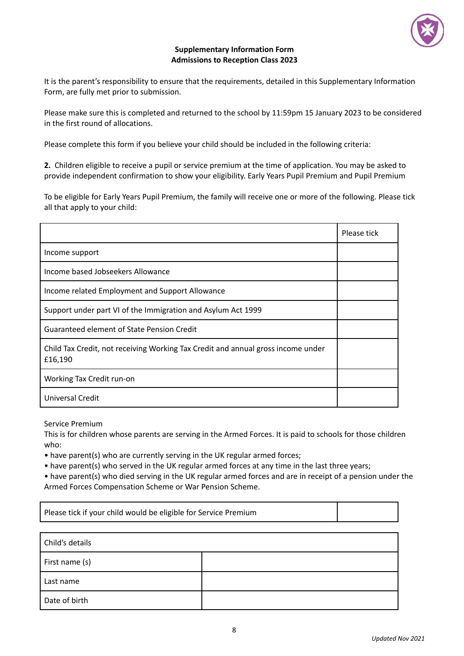

# **Supplementary Information Form Admissions to Reception Class 2023**

It is the parent's responsibility to ensure that the requirements, detailed in this Supplementary Information Form, are fully met prior to submission.

Please make sure this is completed and returned to the school by 11:59pm 15 January 2023 to be considered in the first round of allocations.

Please complete this form if you believe your child should be included in the following criteria:

**2.** Children eligible to receive a pupil or service premium at the time of application. You may be asked to provide independent confirmation to show your eligibility. Early Years Pupil Premium and Pupil Premium

To be eligible for Early Years Pupil Premium, the family will receive one or more of the following. Please tick all that apply to your child:

|                                                                                             | Please tick |
|---------------------------------------------------------------------------------------------|-------------|
| Income support                                                                              |             |
| Income based Jobseekers Allowance                                                           |             |
| Income related Employment and Support Allowance                                             |             |
| Support under part VI of the Immigration and Asylum Act 1999                                |             |
| Guaranteed element of State Pension Credit                                                  |             |
| Child Tax Credit, not receiving Working Tax Credit and annual gross income under<br>£16,190 |             |
| Working Tax Credit run-on                                                                   |             |
| Universal Credit                                                                            |             |

Service Premium

Г

This is for children whose parents are serving in the Armed Forces. It is paid to schools for those children who:

• have parent(s) who are currently serving in the UK regular armed forces;

• have parent(s) who served in the UK regular armed forces at any time in the last three years;

• have parent(s) who died serving in the UK regular armed forces and are in receipt of a pension under the Armed Forces Compensation Scheme or War Pension Scheme.

| Please tick if your child would be eligible for Service Premium |  |  |
|-----------------------------------------------------------------|--|--|
|                                                                 |  |  |
| Child's details                                                 |  |  |
| First name (s)                                                  |  |  |
| Last name                                                       |  |  |
| Date of birth                                                   |  |  |